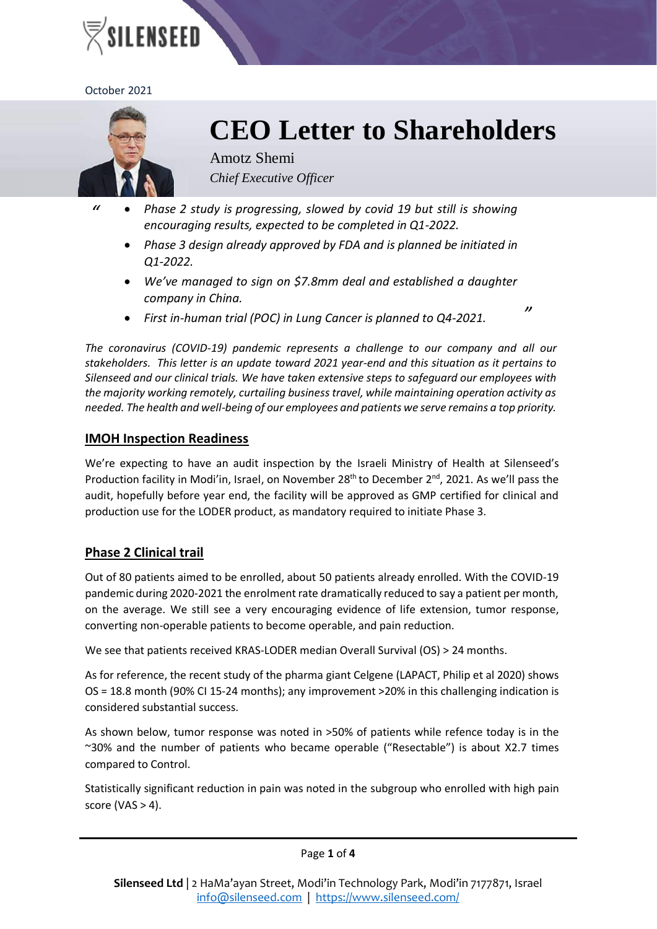

October 2021



*"*

# **CEO Letter to Shareholders**

Amotz Shemi *Chief Executive Officer*

- *Phase 2 study is progressing, slowed by covid 19 but still is showing encouraging results, expected to be completed in Q1-2022.*
	- *Phase 3 design already approved by FDA and is planned be initiated in Q1-2022.*
	- *We've managed to sign on \$7.8mm deal and established a daughter company in China.*
	- *First in-human trial (POC) in Lung Cancer is planned to Q4-2021. "*

*The coronavirus (COVID-19) pandemic represents a challenge to our company and all our stakeholders. This letter is an update toward 2021 year-end and this situation as it pertains to Silenseed and our clinical trials. We have taken extensive steps to safeguard our employees with the majority working remotely, curtailing business travel, while maintaining operation activity as needed. The health and well-being of our employees and patients we serve remains a top priority.* 

## **IMOH Inspection Readiness**

We're expecting to have an audit inspection by the Israeli Ministry of Health at Silenseed's Production facility in Modi'in, Israel, on November 28<sup>th</sup> to December 2<sup>nd</sup>, 2021. As we'll pass the audit, hopefully before year end, the facility will be approved as GMP certified for clinical and production use for the LODER product, as mandatory required to initiate Phase 3.

## **Phase 2 Clinical trail**

Out of 80 patients aimed to be enrolled, about 50 patients already enrolled. With the COVID-19 pandemic during 2020-2021 the enrolment rate dramatically reduced to say a patient per month, on the average. We still see a very encouraging evidence of life extension, tumor response, converting non-operable patients to become operable, and pain reduction.

We see that patients received KRAS-LODER median Overall Survival (OS) > 24 months.

As for reference, the recent study of the pharma giant Celgene (LAPACT, Philip et al 2020) shows OS = 18.8 month (90% CI 15-24 months); any improvement >20% in this challenging indication is considered substantial success.

As shown below, tumor response was noted in >50% of patients while refence today is in the ~30% and the number of patients who became operable ("Resectable") is about X2.7 times compared to Control.

Statistically significant reduction in pain was noted in the subgroup who enrolled with high pain score (VAS > 4).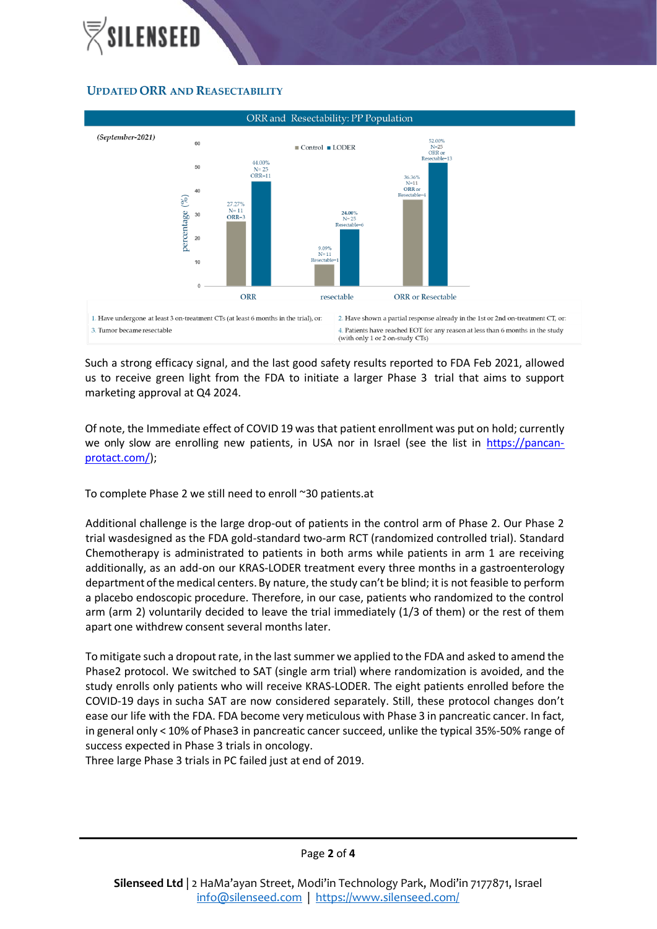

#### **UPDATED ORR AND REASECTABILITY**



1. Have undergone at least 3 on-treatment CTs (at least 6 months in the trial), or: 3. Tumor became resectable

2. Have shown a partial response already in the 1st or 2nd on-treatment CT, or: 4. Patients have reached EOT for any reason at less than 6 months in the study (with only 1 or 2 on-study CTs)

Such a strong efficacy signal, and the last good safety results reported to FDA Feb 2021, allowed us to receive green light from the FDA to initiate a larger Phase 3 trial that aims to support marketing approval at Q4 2024.

Of note, the Immediate effect of COVID 19 was that patient enrollment was put on hold; currently we only slow are enrolling new patients, in USA nor in Israel (see the list in [https://pancan](https://pancan-protact.com/)[protact.com/\)](https://pancan-protact.com/);

To complete Phase 2 we still need to enroll ~30 patients.at

Additional challenge is the large drop-out of patients in the control arm of Phase 2. Our Phase 2 trial wasdesigned as the FDA gold-standard two-arm RCT (randomized controlled trial). Standard Chemotherapy is administrated to patients in both arms while patients in arm 1 are receiving additionally, as an add-on our KRAS-LODER treatment every three months in a gastroenterology department of the medical centers. By nature, the study can't be blind; it is not feasible to perform a placebo endoscopic procedure. Therefore, in our case, patients who randomized to the control arm (arm 2) voluntarily decided to leave the trial immediately (1/3 of them) or the rest of them apart one withdrew consent several months later.

To mitigate such a dropout rate, in the last summer we applied to the FDA and asked to amend the Phase2 protocol. We switched to SAT (single arm trial) where randomization is avoided, and the study enrolls only patients who will receive KRAS-LODER. The eight patients enrolled before the COVID-19 days in sucha SAT are now considered separately. Still, these protocol changes don't ease our life with the FDA. FDA become very meticulous with Phase 3 in pancreatic cancer. In fact, in general only < 10% of Phase3 in pancreatic cancer succeed, unlike the typical 35%-50% range of success expected in Phase 3 trials in oncology.

Three large Phase 3 trials in PC failed just at end of 2019.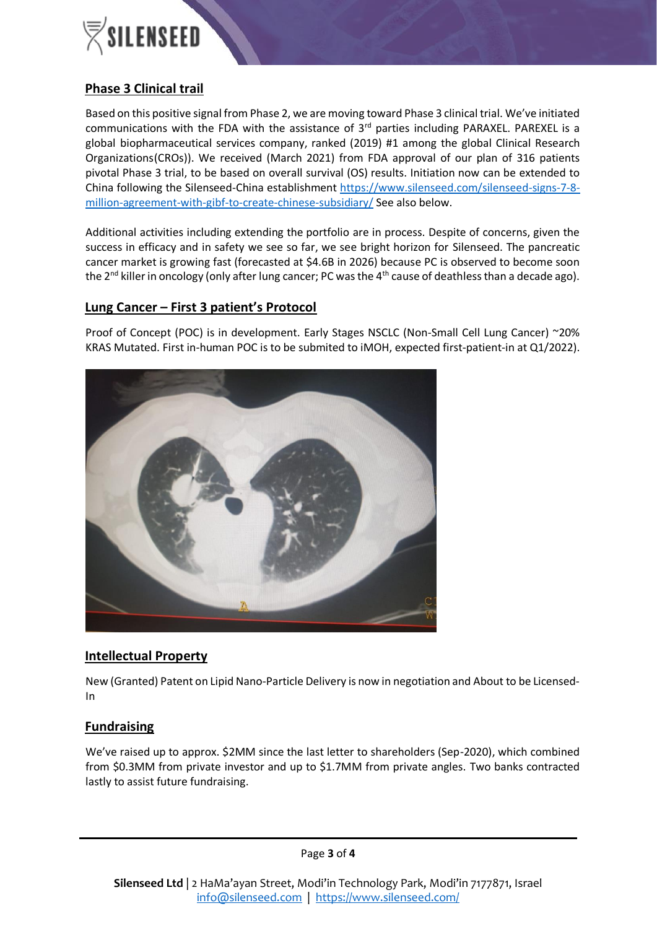

## **Phase 3 Clinical trail**

Based on this positive signal from Phase 2, we are moving toward Phase 3 clinical trial. We've initiated communications with the FDA with the assistance of  $3<sup>rd</sup>$  parties including PARAXEL. PAREXEL is a global biopharmaceutical services company, ranked (2019) #1 among the global Clinical Research Organizations(CROs)). We received (March 2021) from FDA approval of our plan of 316 patients pivotal Phase 3 trial, to be based on overall survival (OS) results. Initiation now can be extended to China following the Silenseed-China establishment [https://www.silenseed.com/silenseed-signs-7-8](https://www.silenseed.com/silenseed-signs-7-8-million-agreement-with-gibf-to-create-chinese-subsidiary/) [million-agreement-with-gibf-to-create-chinese-subsidiary/](https://www.silenseed.com/silenseed-signs-7-8-million-agreement-with-gibf-to-create-chinese-subsidiary/) See also below.

Additional activities including extending the portfolio are in process. Despite of concerns, given the success in efficacy and in safety we see so far, we see bright horizon for Silenseed. The pancreatic cancer market is growing fast (forecasted at \$4.6B in 2026) because PC is observed to become soon the  $2^{nd}$  killer in oncology (only after lung cancer; PC was the  $4^{th}$  cause of deathless than a decade ago).

## **Lung Cancer – First 3 patient's Protocol**

Proof of Concept (POC) is in development. Early Stages NSCLC (Non-Small Cell Lung Cancer) ~20% KRAS Mutated. First in-human POC is to be submited to iMOH, expected first-patient-in at Q1/2022).



## **Intellectual Property**

New (Granted) Patent on Lipid Nano-Particle Delivery is now in negotiation and About to be Licensed-In

## **Fundraising**

We've raised up to approx. \$2MM since the last letter to shareholders (Sep-2020), which combined from \$0.3MM from private investor and up to \$1.7MM from private angles. Two banks contracted lastly to assist future fundraising.